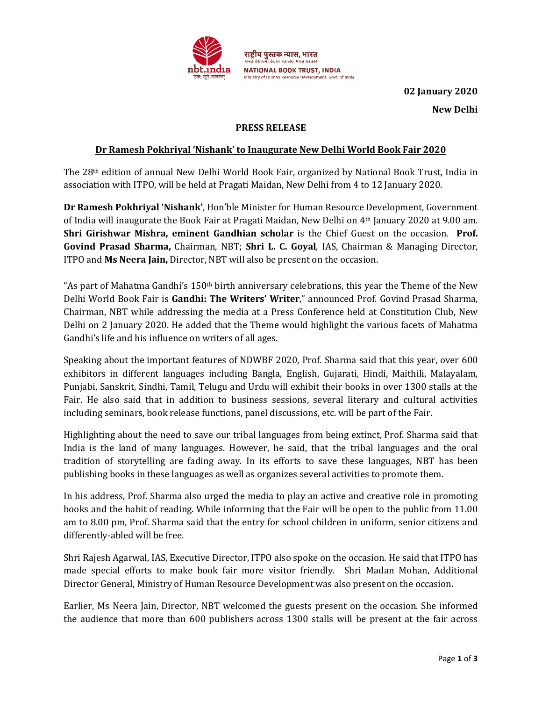

02 January 2020 New Delhi

## PRESS RELEASE

### Dr Ramesh Pokhriyal 'Nishank' to Inaugurate New Delhi World Book Fair 2020

The 28th edition of annual New Delhi World Book Fair, organized by National Book Trust, India in association with ITPO, will be held at Pragati Maidan, New Delhi from 4 to 12 January 2020.

Dr Ramesh Pokhriyal 'Nishank', Hon'ble Minister for Human Resource Development, Government of India will inaugurate the Book Fair at Pragati Maidan, New Delhi on 4th January 2020 at 9.00 am. Shri Girishwar Mishra, eminent Gandhian scholar is the Chief Guest on the occasion. Prof. Govind Prasad Sharma, Chairman, NBT; Shri L. C. Goyal, IAS, Chairman & Managing Director, ITPO and Ms Neera Jain, Director, NBT will also be present on the occasion.

"As part of Mahatma Gandhi's 150<sup>th</sup> birth anniversary celebrations, this year the Theme of the New Delhi World Book Fair is Gandhi: The Writers' Writer," announced Prof. Govind Prasad Sharma, Chairman, NBT while addressing the media at a Press Conference held at Constitution Club, New Delhi on 2 January 2020. He added that the Theme would highlight the various facets of Mahatma Gandhi's life and his influence on writers of all ages.

Speaking about the important features of NDWBF 2020, Prof. Sharma said that this year, over 600 exhibitors in different languages including Bangla, English, Gujarati, Hindi, Maithili, Malayalam, Punjabi, Sanskrit, Sindhi, Tamil, Telugu and Urdu will exhibit their books in over 1300 stalls at the Fair. He also said that in addition to business sessions, several literary and cultural activities including seminars, book release functions, panel discussions, etc. will be part of the Fair.

Highlighting about the need to save our tribal languages from being extinct, Prof. Sharma said that India is the land of many languages. However, he said, that the tribal languages and the oral tradition of storytelling are fading away. In its efforts to save these languages, NBT has been publishing books in these languages as well as organizes several activities to promote them.

In his address, Prof. Sharma also urged the media to play an active and creative role in promoting books and the habit of reading. While informing that the Fair will be open to the public from 11.00 am to 8.00 pm, Prof. Sharma said that the entry for school children in uniform, senior citizens and differently-abled will be free.

Shri Rajesh Agarwal, IAS, Executive Director, ITPO also spoke on the occasion. He said that ITPO has made special efforts to make book fair more visitor friendly. Shri Madan Mohan, Additional Director General, Ministry of Human Resource Development was also present on the occasion.

Earlier, Ms Neera Jain, Director, NBT welcomed the guests present on the occasion. She informed the audience that more than 600 publishers across 1300 stalls will be present at the fair across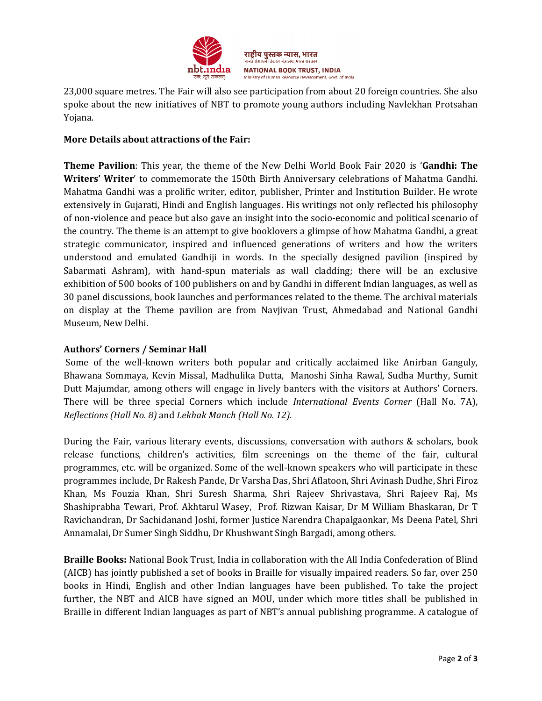

23,000 square metres. The Fair will also see participation from about 20 foreign countries. She also spoke about the new initiatives of NBT to promote young authors including Navlekhan Protsahan Yojana.

# More Details about attractions of the Fair:

Theme Pavilion: This year, the theme of the New Delhi World Book Fair 2020 is 'Gandhi: The Writers' Writer' to commemorate the 150th Birth Anniversary celebrations of Mahatma Gandhi. Mahatma Gandhi was a prolific writer, editor, publisher, Printer and Institution Builder. He wrote extensively in Gujarati, Hindi and English languages. His writings not only reflected his philosophy of non-violence and peace but also gave an insight into the socio-economic and political scenario of the country. The theme is an attempt to give booklovers a glimpse of how Mahatma Gandhi, a great strategic communicator, inspired and influenced generations of writers and how the writers understood and emulated Gandhiji in words. In the specially designed pavilion (inspired by Sabarmati Ashram), with hand-spun materials as wall cladding; there will be an exclusive exhibition of 500 books of 100 publishers on and by Gandhi in different Indian languages, as well as 30 panel discussions, book launches and performances related to the theme. The archival materials on display at the Theme pavilion are from Navjivan Trust, Ahmedabad and National Gandhi Museum, New Delhi.

## Authors' Corners / Seminar Hall

 Some of the well-known writers both popular and critically acclaimed like Anirban Ganguly, Bhawana Sommaya, Kevin Missal, Madhulika Dutta, Manoshi Sinha Rawal, Sudha Murthy, Sumit Dutt Majumdar, among others will engage in lively banters with the visitors at Authors' Corners. There will be three special Corners which include International Events Corner (Hall No. 7A), Reflections (Hall No. 8) and Lekhak Manch (Hall No. 12).

During the Fair, various literary events, discussions, conversation with authors & scholars, book release functions, children's activities, film screenings on the theme of the fair, cultural programmes, etc. will be organized. Some of the well-known speakers who will participate in these programmes include, Dr Rakesh Pande, Dr Varsha Das, Shri Aflatoon, Shri Avinash Dudhe, Shri Firoz Khan, Ms Fouzia Khan, Shri Suresh Sharma, Shri Rajeev Shrivastava, Shri Rajeev Raj, Ms Shashiprabha Tewari, Prof. Akhtarul Wasey, Prof. Rizwan Kaisar, Dr M William Bhaskaran, Dr T Ravichandran, Dr Sachidanand Joshi, former Justice Narendra Chapalgaonkar, Ms Deena Patel, Shri Annamalai, Dr Sumer Singh Siddhu, Dr Khushwant Singh Bargadi, among others.

Braille Books: National Book Trust, India in collaboration with the All India Confederation of Blind (AICB) has jointly published a set of books in Braille for visually impaired readers. So far, over 250 books in Hindi, English and other Indian languages have been published. To take the project further, the NBT and AICB have signed an MOU, under which more titles shall be published in Braille in different Indian languages as part of NBT's annual publishing programme. A catalogue of